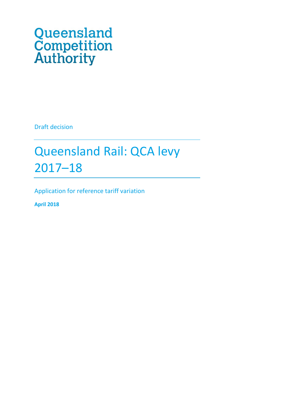# Queensland<br>Competition<br>Authority

Draft decision

# Queensland Rail: QCA levy 2017–18

Application for reference tariff variation

**April 2018**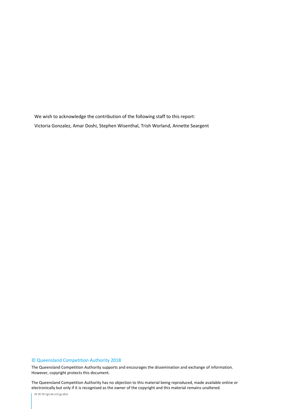We wish to acknowledge the contribution of the following staff to this report: Victoria Gonzalez, Amar Doshi, Stephen Wisenthal, Trish Worland, Annette Seargent

### © Queensland Competition Authority 2018

The Queensland Competition Authority supports and encourages the dissemination and exchange of information. However, copyright protects this document.

2 electronically but only if it is recognised as the owner of the copyright and this material remains unaltered.The Queensland Competition Authority has no objection to this material being reproduced, made available online or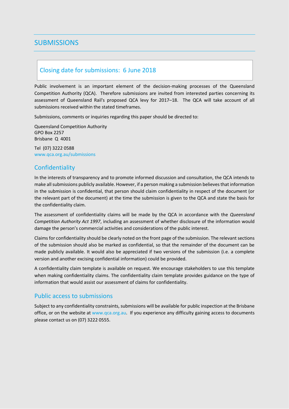# **SUBMISSIONS**

# Closing date for submissions: 6 June 2018

Public involvement is an important element of the decision-making processes of the Queensland Competition Authority (QCA). Therefore submissions are invited from interested parties concerning its assessment of Queensland Rail's proposed QCA levy for 2017–18. The QCA will take account of all submissions received within the stated timeframes.

Submissions, comments or inquiries regarding this paper should be directed to:

Queensland Competition Authority GPO Box 2257 Brisbane Q 4001

Tel (07) 3222 0588 www.qca.org.au/submissions

# **Confidentiality**

In the interests of transparency and to promote informed discussion and consultation, the QCA intends to make all submissions publicly available. However, if a person making a submission believes that information in the submission is confidential, that person should claim confidentiality in respect of the document (or the relevant part of the document) at the time the submission is given to the QCA and state the basis for the confidentiality claim.

The assessment of confidentiality claims will be made by the QCA in accordance with the *Queensland Competition Authority Act 1997*, including an assessment of whether disclosure of the information would damage the person's commercial activities and considerations of the public interest.

Claims for confidentiality should be clearly noted on the front page of the submission. The relevant sections of the submission should also be marked as confidential, so that the remainder of the document can be made publicly available. It would also be appreciated if two versions of the submission (i.e. a complete version and another excising confidential information) could be provided.

A confidentiality claim template is available on request. We encourage stakeholders to use this template when making confidentiality claims. The confidentiality claim template provides guidance on the type of information that would assist our assessment of claims for confidentiality.

### Public access to submissions

Subject to any confidentiality constraints, submissions will be available for public inspection at the Brisbane office, or on the website a[t www.qca.org.au.](http://www.qca.org.au/) If you experience any difficulty gaining access to documents please contact us on (07) 3222 0555.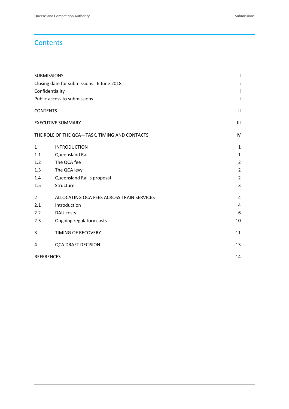# **Contents**

|                                           | <b>SUBMISSIONS</b>                            | $\mathsf{I}$   |
|-------------------------------------------|-----------------------------------------------|----------------|
| Closing date for submissions: 6 June 2018 | Ť                                             |                |
| Confidentiality                           | Ť                                             |                |
|                                           | Public access to submissions                  | Ť              |
| <b>CONTENTS</b>                           |                                               | $\mathbf{II}$  |
|                                           | <b>EXECUTIVE SUMMARY</b>                      | $\mathbf{III}$ |
|                                           | THE ROLE OF THE QCA-TASK, TIMING AND CONTACTS | IV             |
| $\mathbf{1}$                              | <b>INTRODUCTION</b>                           | $\mathbf{1}$   |
| 1.1                                       | Queensland Rail                               | 1              |
| 1.2                                       | The QCA fee                                   | $\overline{2}$ |
| 1.3                                       | The QCA levy                                  | $\overline{2}$ |
| 1.4                                       | Queensland Rail's proposal                    | $\overline{2}$ |
| 1.5                                       | Structure                                     | 3              |
| $\overline{2}$                            | ALLOCATING QCA FEES ACROSS TRAIN SERVICES     | $\overline{4}$ |
| 2.1                                       | Introduction                                  | 4              |
| 2.2                                       | <b>DAU</b> costs                              | 6              |
| 2.3                                       | Ongoing regulatory costs                      | 10             |
| 3                                         | TIMING OF RECOVERY                            | 11             |
| 4                                         | <b>QCA DRAFT DECISION</b>                     | 13             |
|                                           | <b>REFERENCES</b>                             | 14             |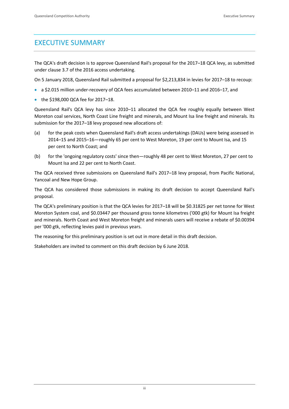# EXECUTIVE SUMMARY

The QCA's draft decision is to approve Queensland Rail's proposal for the 2017–18 QCA levy, as submitted under clause 3.7 of the 2016 access undertaking.

On 5 January 2018, Queensland Rail submitted a proposal for \$2,213,834 in levies for 2017–18 to recoup:

- a \$2.015 million under-recovery of QCA fees accumulated between 2010–11 and 2016–17, and
- the \$198,000 QCA fee for 2017–18.

Queensland Rail's QCA levy has since 2010–11 allocated the QCA fee roughly equally between West Moreton coal services, North Coast Line freight and minerals, and Mount Isa line freight and minerals. Its submission for the 2017–18 levy proposed new allocations of:

- (a) for the peak costs when Queensland Rail's draft access undertakings (DAUs) were being assessed in 2014–15 and 2015–16—roughly 65 per cent to West Moreton, 19 per cent to Mount Isa, and 15 per cent to North Coast; and
- (b) for the 'ongoing regulatory costs' since then—roughly 48 per cent to West Moreton, 27 per cent to Mount Isa and 22 per cent to North Coast.

The QCA received three submissions on Queensland Rail's 2017–18 levy proposal, from Pacific National, Yancoal and New Hope Group.

The QCA has considered those submissions in making its draft decision to accept Queensland Rail's proposal.

The QCA's preliminary position is that the QCA levies for 2017–18 will be \$0.31825 per net tonne for West Moreton System coal, and \$0.03447 per thousand gross tonne kilometres ('000 gtk) for Mount Isa freight and minerals. North Coast and West Moreton freight and minerals users will receive a rebate of \$0.00394 per '000 gtk, reflecting levies paid in previous years.

The reasoning for this preliminary position is set out in more detail in this draft decision.

Stakeholders are invited to comment on this draft decision by 6 June 2018.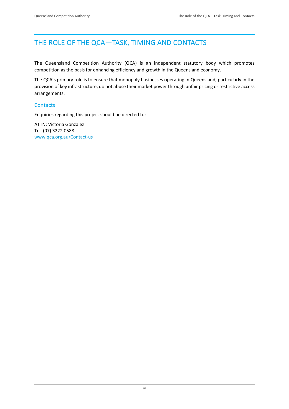# THE ROLE OF THE QCA—TASK, TIMING AND CONTACTS

The Queensland Competition Authority (QCA) is an independent statutory body which promotes competition as the basis for enhancing efficiency and growth in the Queensland economy.

The QCA's primary role is to ensure that monopoly businesses operating in Queensland, particularly in the provision of key infrastructure, do not abuse their market power through unfair pricing or restrictive access arrangements.

### **Contacts**

Enquiries regarding this project should be directed to:

ATTN: Victoria Gonzalez Tel (07) 3222 0588 [www.qca.org.au/Contact-us](http://www.qca.org.au/Contact-us)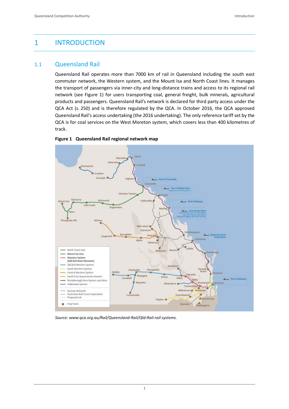# 1 INTRODUCTION

# 1.1 Queensland Rail

Queensland Rail operates more than 7000 km of rail in Queensland including the south east commuter network, the Western system, and the Mount Isa and North Coast lines. It manages the transport of passengers via inner-city and long-distance trains and access to its regional rail network (see Figure 1) for users transporting coal, general freight, bulk minerals, agricultural products and passengers. Queensland Rail's network is declared for third party access under the QCA Act (s. 250) and is therefore regulated by the QCA. In October 2016, the QCA approved Queensland Rail's access undertaking (the 2016 undertaking). The only reference tariff set by the QCA is for coal services on the West Moreton system, which covers less than 400 kilometres of track.



### **Figure 1 Queensland Rail regional network map**

*Source: www.qca.org.au/Rail/Queensland-Rail/Qld-Rail-rail-systems.*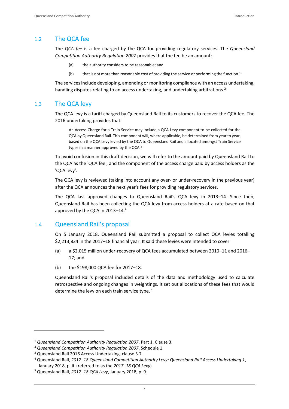# 1.2 The QCA fee

The *QCA fee* is a fee charged by the QCA for providing regulatory services. The *Queensland Competition Authority Regulation 2007* provides that the fee be an amount:

- (a) the authority considers to be reasonable; and
- (b) that is not more than reasonable cost of providing the service or performing the function.<sup>1</sup>

The services include developing, amending or monitoring compliance with an access undertaking, handling disputes relating to an access undertaking, and undertaking arbitrations.<sup>2</sup>

# 1.3 The QCA levy

The QCA levy is a tariff charged by Queensland Rail to its customers to recover the QCA fee. The 2016 undertaking provides that:

An Access Charge for a Train Service may include a QCA Levy component to be collected for the QCA by Queensland Rail. This component will, where applicable, be determined from year to year, based on the QCA Levy levied by the QCA to Queensland Rail and allocated amongst Train Service types in a manner approved by the QCA.<sup>3</sup>

To avoid confusion in this draft decision, we will refer to the amount paid by Queensland Rail to the QCA as the 'QCA fee', and the component of the access charge paid by access holders as the 'QCA levy'.

The QCA levy is reviewed (taking into account any over- or under-recovery in the previous year) after the QCA announces the next year's fees for providing regulatory services.

The QCA last approved changes to Queensland Rail's QCA levy in 2013–14. Since then, Queensland Rail has been collecting the QCA levy from access holders at a rate based on that approved by the QCA in 2013–14.<sup>4</sup>

# 1.4 Queensland Rail's proposal

On 5 January 2018, Queensland Rail submitted a proposal to collect QCA levies totalling \$2,213,834 in the 2017–18 financial year. It said these levies were intended to cover

- (a) a \$2.015 million under-recovery of QCA fees accumulated between 2010–11 and 2016– 17; and
- (b) the \$198,000 QCA fee for 2017–18.

Queensland Rail's proposal included details of the data and methodology used to calculate retrospective and ongoing changes in weightings. It set out allocations of these fees that would determine the levy on each train service type.<sup>5</sup>

<sup>1</sup> *Queensland Competition Authority Regulation 2007*, Part 1, Clause 3.

<sup>2</sup> *Queensland Competition Authority Regulation 2007*, Schedule 1.

<sup>3</sup> Queensland Rail 2016 Access Undertaking, clause 3.7.

<sup>4</sup> Queensland Rail, *2017–18 Queensland Competition Authority Levy: Queensland Rail Access Undertaking 1*, January 2018, p. ii. (referred to as the *2017–18 QCA Levy*)

<sup>5</sup> Queensland Rail, *2017–18 QCA Levy*, January 2018, p. 9.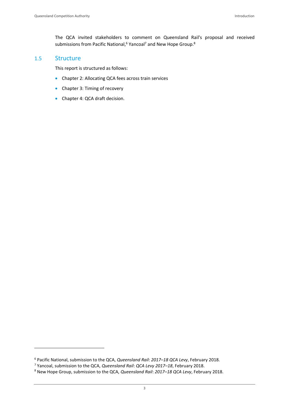The QCA invited stakeholders to comment on Queensland Rail's proposal and received submissions from Pacific National,<sup>6</sup> Yancoal<sup>7</sup> and New Hope Group.<sup>8</sup>

### 1.5 Structure

 $\overline{a}$ 

This report is structured as follows:

- Chapter 2: Allocating QCA fees across train services
- Chapter 3: Timing of recovery
- Chapter 4: QCA draft decision.

<sup>6</sup> Pacific National, submission to the QCA, *Queensland Rail*: *2017–18 QCA Levy*, February 2018.

<sup>7</sup> Yancoal, submission to the QCA, *Queensland Rail*: *QCA Levy 2017–18*, February 2018.

<sup>8</sup> New Hope Group, submission to the QCA, *Queensland Rail*: *2017–18 QCA Levy*, February 2018.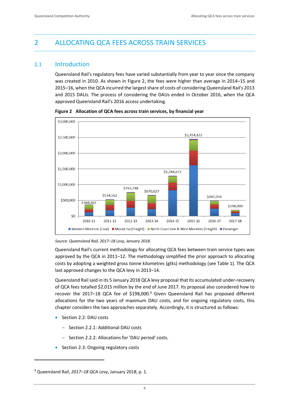# 2 ALLOCATING QCA FEES ACROSS TRAIN SERVICES

# 2.1 Introduction

Queensland Rail's regulatory fees have varied substantially from year to year since the company was created in 2010. As shown in Figure 2, the fees were higher than average in 2014–15 and 2015–16, when the QCA incurred the largest share of costs of considering Queensland Rail's 2013 and 2015 DAUs. The process of considering the DAUs ended in October 2016, when the QCA approved Queensland Rail's 2016 access undertaking.



**Figure 2 Allocation of QCA fees across train services, by financial year**

*Source: Queensland Rail, 2017–18 Levy, January 2018.*

Queensland Rail's current methodology for allocating QCA fees between train service types was approved by the QCA in 2011–12. The methodology simplified the prior approach to allocating costs by adopting a weighted gross tonne kilometres (gtks) methodology (see Table 1). The QCA last approved changes to the QCA levy in 2013–14.

Queensland Rail said in its 5 January 2018 QCA levy proposal that its accumulated under-recovery of QCA fees totalled \$2.015 million by the end of June 2017. Its proposal also considered how to recover the 2017-18 QCA fee of \$198,000.<sup>9</sup> Given Queensland Rail has proposed different allocations for the two years of maximum DAU costs, and for ongoing regulatory costs, this chapter considers the two approaches separately. Accordingly, it is structured as follows:

Section 2.2: DAU costs

- Section 2.2.1: Additional DAU costs
- Section 2.2.2: Allocations for 'DAU period' costs.
- Section 2.3: Ongoing regulatory costs

<sup>9</sup> Queensland Rail, *2017–18 QCA Levy*, January 2018, p. 1.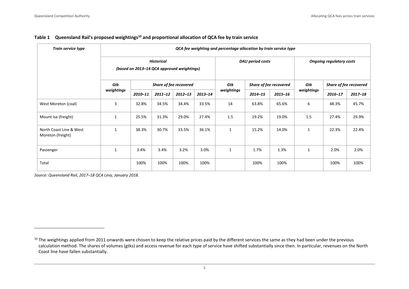| Train service type                           | QCA fee weighting and percentage allocation by train service type |                        |             |             |                        |              |             |                                 |              |             |             |
|----------------------------------------------|-------------------------------------------------------------------|------------------------|-------------|-------------|------------------------|--------------|-------------|---------------------------------|--------------|-------------|-------------|
|                                              | <b>Historical</b><br>(based on 2013-14 QCA approved weightings)   |                        |             |             | DAU period costs       |              |             | <b>Ongoing regulatory costs</b> |              |             |             |
|                                              | Gtk                                                               | Share of fee recovered |             | Gtk         | Share of fee recovered |              | Gtk         | Share of fee recovered          |              |             |             |
|                                              | weightings                                                        | 2010-11                | $2011 - 12$ | $2012 - 13$ | $2013 - 14$            | weightings   | $2014 - 15$ | $2015 - 16$                     | weightings   | $2016 - 17$ | $2017 - 18$ |
| West Moreton (coal)                          | 3                                                                 | 32.8%                  | 34.5%       | 34.4%       | 33.5%                  | 14           | 63.8%       | 65.6%                           | 6            | 48.3%       | 45.7%       |
| Mount Isa (freight)                          | $\mathbf{1}$                                                      | 25.5%                  | 31.3%       | 29.0%       | 27.4%                  | 1.5          | 19.2%       | 19.0%                           | 1.5          | 27.4%       | 29.9%       |
| North Coast Line & West<br>Moreton (freight) | $\mathbf{1}$                                                      | 38.3%                  | 30.7%       | 33.5%       | 36.1%                  | $\mathbf{1}$ | 15.2%       | 14.0%                           | $\mathbf{1}$ | 22.3%       | 22.4%       |
| Passenger                                    | $\mathbf{1}$                                                      | 3.4%                   | 3.4%        | 3.2%        | 3.0%                   | $\mathbf{1}$ | 1.7%        | 1.3%                            | $\mathbf{1}$ | 2.0%        | 2.0%        |
| Total                                        |                                                                   | 100%                   | 100%        | 100%        | 100%                   |              | 100%        | 100%                            |              | 100%        | 100%        |

### **Table 1 Queensland Rail's proposed weightings<sup>10</sup> and proportional allocation of QCA fee by train service**

*Source: Queensland Rail, 2017–18 QCA Levy, January 2018.*

 $\ddot{ }$ 

<sup>&</sup>lt;sup>10</sup> The weightings applied from 2011 onwards were chosen to keep the relative prices paid by the different services the same as they had been under the previous calculation method. The shares of volumes (gtks) and access revenue for each type of service have shifted substantially since then. In particular, revenues on the North Coast line have fallen substantially.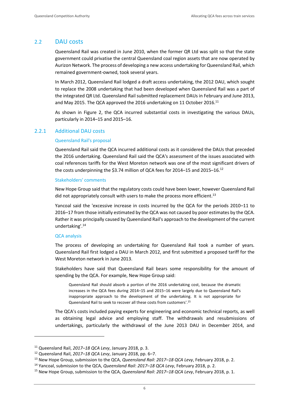### 2.2 DAU costs

Queensland Rail was created in June 2010, when the former QR Ltd was split so that the state government could privatise the central Queensland coal region assets that are now operated by Aurizon Network. The process of developing a new access undertaking for Queensland Rail, which remained government-owned, took several years.

In March 2012, Queensland Rail lodged a draft access undertaking, the 2012 DAU, which sought to replace the 2008 undertaking that had been developed when Queensland Rail was a part of the integrated QR Ltd. Queensland Rail submitted replacement DAUs in February and June 2013, and May 2015. The QCA approved the 2016 undertaking on 11 October 2016.<sup>11</sup>

As shown in Figure 2, the QCA incurred substantial costs in investigating the various DAUs, particularly in 2014–15 and 2015–16.

### 2.2.1 Additional DAU costs

### Queensland Rail's proposal

Queensland Rail said the QCA incurred additional costs as it considered the DAUs that preceded the 2016 undertaking. Queensland Rail said the QCA's assessment of the issues associated with coal references tariffs for the West Moreton network was one of the most significant drivers of the costs underpinning the \$3.74 million of QCA fees for 2014-15 and 2015-16.<sup>12</sup>

### Stakeholders' comments

New Hope Group said that the regulatory costs could have been lower, however Queensland Rail did not appropriately consult with users to make the process more efficient.<sup>13</sup>

Yancoal said the 'excessive increase in costs incurred by the QCA for the periods 2010–11 to 2016–17 from those initially estimated by the QCA was not caused by poor estimates by the QCA. Rather it was principally caused by Queensland Rail's approach to the development of the current undertaking'. 14

### QCA analysis

 $\overline{a}$ 

The process of developing an undertaking for Queensland Rail took a number of years. Queensland Rail first lodged a DAU in March 2012, and first submitted a proposed tariff for the West Moreton network in June 2013.

Stakeholders have said that Queensland Rail bears some responsibility for the amount of spending by the QCA. For example, New Hope Group said:

Queensland Rail should absorb a portion of the 2016 undertaking cost, because the dramatic increases in the QCA fees during 2014–15 and 2015–16 were largely due to Queensland Rail's inappropriate approach to the development of the undertaking. It is not appropriate for Queensland Rail to seek to recover all these costs from customers'. 15

The QCA's costs included paying experts for engineering and economic technical reports, as well as obtaining legal advice and employing staff. The withdrawals and resubmissions of undertakings, particularly the withdrawal of the June 2013 DAU in December 2014, and

<sup>11</sup> Queensland Rail, *2017–18 QCA Levy*, January 2018, p. 3.

<sup>12</sup> Queensland Rail, *2017–18 QCA Levy*, January 2018, pp. 6–7.

<sup>13</sup> New Hope Group, submission to the QCA, *Queensland Rail*: *2017–18 QCA Levy*, February 2018, p. 2.

<sup>14</sup> Yancoal, submission to the QCA, *Queensland Rail*: *2017–18 QCA Levy*, February 2018, p. 2.

<sup>15</sup> New Hope Group, submission to the QCA, *Queensland Rail*: *2017–18 QCA Levy*, February 2018, p. 1.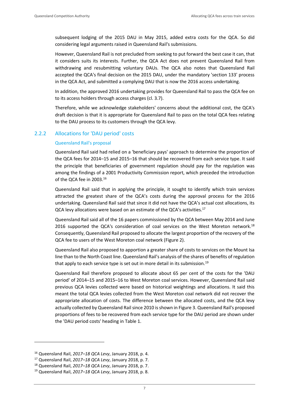subsequent lodging of the 2015 DAU in May 2015, added extra costs for the QCA. So did considering legal arguments raised in Queensland Rail's submissions.

However, Queensland Rail is not precluded from seeking to put forward the best case it can, that it considers suits its interests. Further, the QCA Act does not prevent Queensland Rail from withdrawing and resubmitting voluntary DAUs. The QCA also notes that Queensland Rail accepted the QCA's final decision on the 2015 DAU, under the mandatory 'section 133' process in the QCA Act, and submitted a complying DAU that is now the 2016 access undertaking.

In addition, the approved 2016 undertaking provides for Queensland Rail to pass the QCA fee on to its access holders through access charges (cl. 3.7).

Therefore, while we acknowledge stakeholders' concerns about the additional cost, the QCA's draft decision is that it is appropriate for Queensland Rail to pass on the total QCA fees relating to the DAU process to its customers through the QCA levy.

### 2.2.2 Allocations for 'DAU period' costs

### Queensland Rail's proposal

Queensland Rail said had relied on a 'beneficiary pays' approach to determine the proportion of the QCA fees for 2014–15 and 2015–16 that should be recovered from each service type. It said the principle that beneficiaries of government regulation should pay for the regulation was among the findings of a 2001 Productivity Commission report, which preceded the introduction of the QCA fee in 2003.<sup>16</sup>

Queensland Rail said that in applying the principle, it sought to identify which train services attracted the greatest share of the QCA's costs during the approval process for the 2016 undertaking. Queensland Rail said that since it did not have the QCA's actual cost allocations, its QCA levy allocations were based on an estimate of the QCA's activities.<sup>17</sup>

Queensland Rail said all of the 16 papers commissioned by the QCA between May 2014 and June 2016 supported the QCA's consideration of coal services on the West Moreton network.<sup>18</sup> Consequently, Queensland Rail proposed to allocate the largest proportion of the recovery of the QCA fee to users of the West Moreton coal network (Figure 2).

Queensland Rail also proposed to apportion a greater share of costs to services on the Mount Isa line than to the North Coast line. Queensland Rail's analysis of the shares of benefits of regulation that apply to each service type is set out in more detail in its submission.<sup>19</sup>

Queensland Rail therefore proposed to allocate about 65 per cent of the costs for the 'DAU period' of 2014–15 and 2015–16 to West Moreton coal services. However, Queensland Rail said previous QCA levies collected were based on historical weightings and allocations. It said this meant the total QCA levies collected from the West Moreton coal network did not recover the appropriate allocation of costs. The difference between the allocated costs, and the QCA levy actually collected by Queensland Rail since 2010 is shown in Figure 3. Queensland Rail's proposed proportions of fees to be recovered from each service type for the DAU period are shown under the 'DAU period costs' heading in Table 1.

<sup>16</sup> Queensland Rail, *2017–18 QCA Levy*, January 2018, p. 4.

<sup>17</sup> Queensland Rail, *2017–18 QCA Levy*, January 2018, p. 7.

<sup>18</sup> Queensland Rail, *2017–18 QCA Levy*, January 2018, p. 7.

<sup>19</sup> Queensland Rail, *2017–18 QCA Levy*, January 2018, p. 8.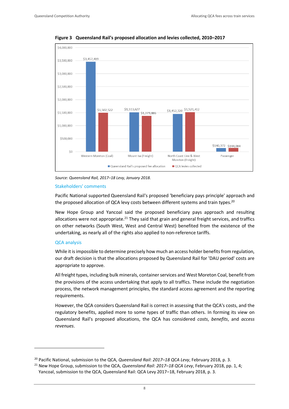

**Figure 3 Queensland Rail's proposed allocation and levies collected, 2010–2017**

*Source: Queensland Rail, 2017–18 Levy, January 2018.*

### Stakeholders' comments

Pacific National supported Queensland Rail's proposed 'beneficiary pays principle' approach and the proposed allocation of QCA levy costs between different systems and train types. $^{20}$ 

New Hope Group and Yancoal said the proposed beneficiary pays approach and resulting allocations were not appropriate.<sup>21</sup> They said that grain and general freight services, and traffics on other networks (South West, West and Central West) benefited from the existence of the undertaking, as nearly all of the rights also applied to non-reference tariffs.

### QCA analysis

 $\overline{a}$ 

While it is impossible to determine precisely how much an access holder benefits from regulation, our draft decision is that the allocations proposed by Queensland Rail for 'DAU period' costs are appropriate to approve.

All freight types, including bulk minerals, container services and West Moreton Coal, benefit from the provisions of the access undertaking that apply to all traffics. These include the negotiation process, the network management principles, the standard access agreement and the reporting requirements.

However, the QCA considers Queensland Rail is correct in assessing that the QCA's costs, and the regulatory benefits, applied more to some types of traffic than others. In forming its view on Queensland Rail's proposed allocations, the QCA has considered *costs*, *benefits*, and *access revenues*.

<sup>20</sup> Pacific National, submission to the QCA, *Queensland Rail*: *2017–18 QCA Levy*, February 2018, p. 3.

<sup>21</sup> New Hope Group, submission to the QCA, *Queensland Rail*: *2017–18 QCA Levy*, February 2018, pp. 1, 4; Yancoal, submission to the QCA, Queensland Rail: QCA Levy 2017–18, February 2018, p. 3.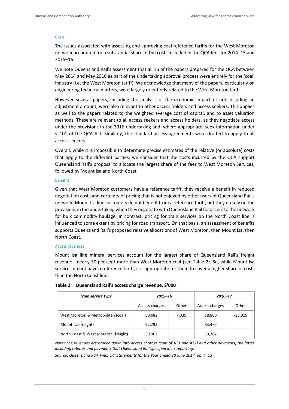### **Costs**

The issues associated with assessing and approving coal reference tariffs for the West Moreton network accounted for a substantial share of the costs included in the QCA fees for 2014–15 and 2015–16.

We note Queensland Rail's assessment that all 16 of the papers prepared for the QCA between May 2014 and May 2016 as part of the undertaking approval process were entirely for the 'coal' industry (i.e. the West Moreton tariff). We acknowledge that many of the papers, particularly on engineering technical matters, were largely or entirely related to the West Moreton tariff.

However several papers, including the analysis of the economic impact of not including an adjustment amount, were also relevant to other access holders and access seekers. This applies as well to the papers related to the weighted average cost of capital, and to asset valuation methods. These are relevant to all access seekers and access holders, as they negotiate access under the provisions in the 2016 undertaking and, where appropriate, seek information under s. 101 of the QCA Act. Similarly, the standard access agreements were drafted to apply to all access seekers.

Overall, while it is impossible to determine precise estimates of the relative (or absolute) costs that apply to the different parties, we consider that the costs incurred by the QCA support Queensland Rail's proposal to allocate the largest share of the fees to West Moreton Services, followed by Mount Isa and North Coast.

### Benefits

Given that West Moreton customers have a reference tariff, they receive a benefit in reduced negotiation costs and certainty of pricing that is not enjoyed by other users of Queensland Rail's network. Mount Isa line customers do not benefit from a reference tariff, but they do rely on the provisions in the undertaking when they negotiate with Queensland Rail for access to the network for bulk commodity haulage. In contrast, pricing for train services on the North Coast line is influenced to some extent by pricing for road transport. On that basis, an assessment of benefits supports Queensland Rail's proposed relative allocations of West Moreton, then Mount Isa, then North Coast.

### Access revenues

Mount Isa line mineral services account for the largest share of Queensland Rail's freight revenue—nearly 50 per cent more than West Moreton coal (see Table 2). So, while Mount Isa services do not have a reference tariff, it is appropriate for them to cover a higher share of costs than the North Coast line.

| Train service type                   | 2015-16        |       | 2016-17        |           |  |
|--------------------------------------|----------------|-------|----------------|-----------|--|
|                                      | Access charges | Other | Access charges | Other     |  |
| West Moreton & Metropolitan (coal)   | 60,682         | 7,339 | 58,866         | $-23,019$ |  |
| Mount Isa (freight)                  | 92,793         |       | 83,475         |           |  |
| North Coast & West Moreton (freight) | 59,962         |       | 50,262         |           |  |

### **Table 2 Queensland Rail's access charge revenue, \$'000**

*Note: The revenues are broken down into access charges (sum of AT1 and AT2) and other payments, the latter including rebates and payments that Queensland Rail specified in its reporting.*

*Source: Queensland Rail, Financial Statements for the Year Ended 30 June 2017, pp. 4, 13*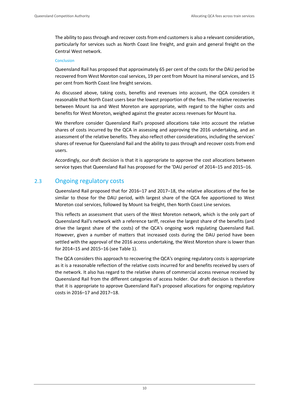The ability to pass through and recover costs from end customers is also a relevant consideration, particularly for services such as North Coast line freight, and grain and general freight on the Central West network.

### Conclusion

Queensland Rail has proposed that approximately 65 per cent of the costs for the DAU period be recovered from West Moreton coal services, 19 per cent from Mount Isa mineral services, and 15 per cent from North Coast line freight services.

As discussed above, taking costs, benefits and revenues into account, the QCA considers it reasonable that North Coast users bear the lowest proportion of the fees. The relative recoveries between Mount Isa and West Moreton are appropriate, with regard to the higher costs and benefits for West Moreton, weighed against the greater access revenues for Mount Isa.

We therefore consider Queensland Rail's proposed allocations take into account the relative shares of costs incurred by the QCA in assessing and approving the 2016 undertaking, and an assessment of the relative benefits. They also reflect other considerations, including the services' shares of revenue for Queensland Rail and the ability to pass through and recover costs from end users.

Accordingly, our draft decision is that it is appropriate to approve the cost allocations between service types that Queensland Rail has proposed for the 'DAU period' of 2014–15 and 2015–16.

# 2.3 Ongoing regulatory costs

Queensland Rail proposed that for 2016–17 and 2017–18, the relative allocations of the fee be similar to those for the DAU period, with largest share of the QCA fee apportioned to West Moreton coal services, followed by Mount Isa freight, then North Coast Line services.

This reflects an assessment that users of the West Moreton network, which is the only part of Queensland Rail's network with a reference tariff, receive the largest share of the benefits (and drive the largest share of the costs) of the QCA's ongoing work regulating Queensland Rail. However, given a number of matters that increased costs during the DAU period have been settled with the approval of the 2016 access undertaking, the West Moreton share is lower than for 2014–15 and 2015–16 (see Table 1).

The QCA considers this approach to recovering the QCA's ongoing regulatory costs is appropriate as it is a reasonable reflection of the relative costs incurred for and benefits received by users of the network. It also has regard to the relative shares of commercial access revenue received by Queensland Rail from the different categories of access holder. Our draft decision is therefore that it is appropriate to approve Queensland Rail's proposed allocations for ongoing regulatory costs in 2016–17 and 2017–18.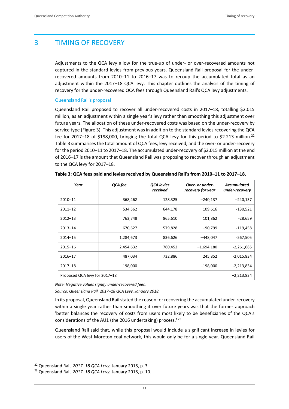# 3 TIMING OF RECOVERY

Adjustments to the QCA levy allow for the true-up of under- or over-recovered amounts not captured in the standard levies from previous years. Queensland Rail proposal for the underrecovered amounts from 2010–11 to 2016–17 was to recoup the accumulated total as an adjustment within the 2017–18 QCA levy. This chapter outlines the analysis of the timing of recovery for the under-recovered QCA fees through Queensland Rail's QCA levy adjustments.

### Queensland Rail's proposal

Queensland Rail proposed to recover all under-recovered costs in 2017–18, totalling \$2.015 million, as an adjustment within a single year's levy rather than smoothing this adjustment over future years. The allocation of these under-recovered costs was based on the under-recovery by service type (Figure 3). This adjustment was in addition to the standard levies recovering the QCA fee for 2017–18 of \$198,000, bringing the total QCA levy for this period to \$2.213 million.<sup>22</sup> Table 3 summarises the total amount of QCA fees, levy received, and the over- or under-recovery for the period 2010–11 to 2017–18. The accumulated under-recovery of \$2.015 million at the end of 2016–17 is the amount that Queensland Rail was proposing to recover through an adjustment to the QCA levy for 2017–18.

| Year                          | QCA fee   | <b>QCA levies</b><br>received | Over- or under-<br>recovery for year | Accumulated<br>under-recovery |
|-------------------------------|-----------|-------------------------------|--------------------------------------|-------------------------------|
| 2010-11                       | 368,462   | 128,325                       | $-240,137$                           | $-240,137$                    |
| $2011 - 12$                   | 534,562   | 644,178                       | 109,616                              | $-130,521$                    |
| $2012 - 13$                   | 763,748   | 865,610                       | 101,862                              | $-28,659$                     |
| $2013 - 14$                   | 670,627   | 579,828                       | $-90,799$                            | $-119,458$                    |
| $2014 - 15$                   | 1,284,673 | 836,626                       | $-448,047$                           | $-567,505$                    |
| $2015 - 16$                   | 2,454,632 | 760,452                       | $-1,694,180$                         | $-2,261,685$                  |
| 2016-17                       | 487,034   | 732,886                       | 245,852                              | $-2,015,834$                  |
| $2017 - 18$                   | 198,000   |                               | $-198,000$                           | $-2,213,834$                  |
| Proposed QCA levy for 2017-18 |           |                               | $-2,213,834$                         |                               |

|  | Table 3: QCA fees paid and levies received by Queensland Rail's from 2010-11 to 2017-18. |
|--|------------------------------------------------------------------------------------------|
|--|------------------------------------------------------------------------------------------|

*Note: Negative values signify under-recovered fees.*

*Source: Queensland Rail, 2017–18 QCA Levy, January 2018.*

In its proposal, Queensland Rail stated the reason for recovering the accumulated under-recovery within a single year rather than smoothing it over future years was that the former approach 'better balances the recovery of costs from users most likely to be beneficiaries of the QCA's considerations of the AU1 (the 2016 undertaking) process.'<sup>23</sup>

Queensland Rail said that, while this proposal would include a significant increase in levies for users of the West Moreton coal network, this would only be for a single year. Queensland Rail

<sup>22</sup> Queensland Rail, *2017–18 QCA Levy*, January 2018, p. 3.

<sup>23</sup> Queensland Rail, *2017–18 QCA Levy*, January 2018, p. 10.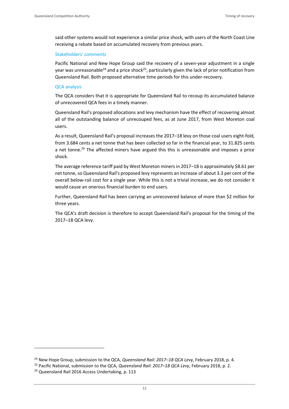said other systems would not experience a similar price shock, with users of the North Coast Line receiving a rebate based on accumulated recovery from previous years.

### Stakeholders' comments

Pacific National and New Hope Group said the recovery of a seven-year adjustment in a single year was unreasonable<sup>24</sup> and a price shock<sup>25</sup>, particularly given the lack of prior notification from Queensland Rail. Both proposed alternative time periods for this under-recovery.

### QCA analysis

The QCA considers that it is appropriate for Queensland Rail to recoup its accumulated balance of unrecovered QCA fees in a timely manner.

Queensland Rail's proposed allocations and levy mechanism have the effect of recovering almost all of the outstanding balance of unrecouped fees, as at June 2017, from West Moreton coal users.

As a result, Queensland Rail's proposal increases the 2017–18 levy on those coal users eight-fold, from 3.684 cents a net tonne that has been collected so far in the financial year, to 31.825 cents a net tonne.<sup>26</sup> The affected miners have argued this this is unreasonable and imposes a price shock.

The average reference tariff paid by West Moreton miners in 2017–18 is approximately \$8.61 per net tonne, so Queensland Rail's proposed levy represents an increase of about 3.3 per cent of the overall below-rail cost for a single year. While this is not a trivial increase, we do not consider it would cause an onerous financial burden to end users.

Further, Queensland Rail has been carrying an unrecovered balance of more than \$2 million for three years.

The QCA's draft decision is therefore to accept Queensland Rail's proposal for the timing of the 2017–18 QCA levy.

<sup>24</sup> New Hope Group, submission to the QCA, *Queensland Rail: 2017–18 QCA Levy*, February 2018, p. 4.

<sup>25</sup> Pacific National, submission to the QCA, *Queensland Rail: 2017–18 QCA Levy*, February 2018, p. 2.

<sup>&</sup>lt;sup>26</sup> Queensland Rail 2016 Access Undertaking, p. 113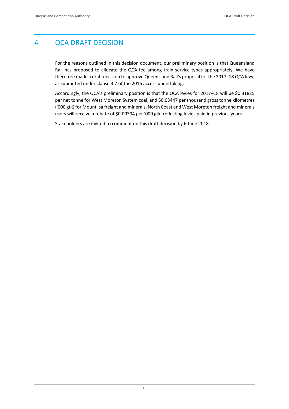# 4 QCA DRAFT DECISION

For the reasons outlined in this decision document, our preliminary position is that Queensland Rail has proposed to allocate the QCA fee among train service types appropriately. We have therefore made a draft decision to approve Queensland Rail's proposal for the 2017–18 QCA levy, as submitted under clause 3.7 of the 2016 access undertaking.

Accordingly, the QCA's preliminary position is that the QCA levies for 2017–18 will be \$0.31825 per net tonne for West Moreton System coal, and \$0.03447 per thousand gross tonne kilometres ('000 gtk) for Mount Isa freight and minerals. North Coast and West Moreton freight and minerals users will receive a rebate of \$0.00394 per '000 gtk, reflecting levies paid in previous years.

Stakeholders are invited to comment on this draft decision by 6 June 2018.